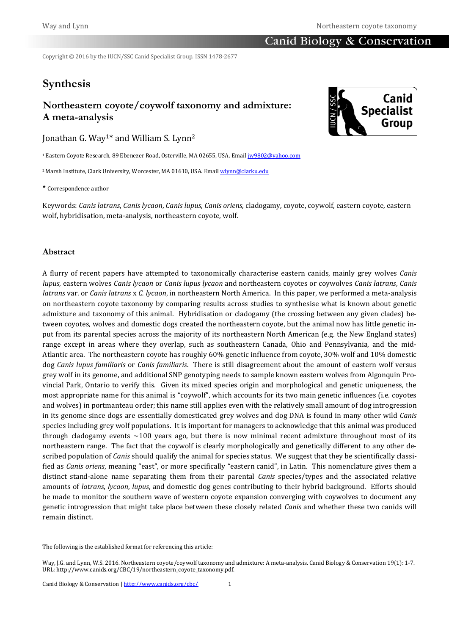# Canid Biology & Conservation

Copyright © 2016 by the IUCN/SSC Canid Specialist Group. ISSN 1478-2677

# **Synthesis**

# **Northeastern coyote/coywolf taxonomy and admixture: A meta-analysis**

Jonathan G. Way1\* and William S. Lynn<sup>2</sup>

<sup>1</sup>Eastern Coyote Research, 89 Ebenezer Road, Osterville, MA 02655, USA. Email *jw9802@yahoo.com* 

<sup>2</sup> Marsh Institute, Clark University, Worcester, MA 01610, USA. Emai[l wlynn@clarku.edu](mailto:wlynn@clarku.edu)

\* Correspondence author

Keywords: *Canis latrans*, *Canis lycaon*, *Canis lupus*, *Canis oriens*, cladogamy, coyote, coywolf, eastern coyote, eastern wolf, hybridisation, meta-analysis, northeastern coyote, wolf.

### **Abstract**

A flurry of recent papers have attempted to taxonomically characterise eastern canids, mainly grey wolves *Canis lupus*, eastern wolves *Canis lycaon* or *Canis lupus lycaon* and northeastern coyotes or coywolves *Canis latrans*, *Canis latrans* var. or *Canis latrans* x *C. lycaon*, in northeastern North America. In this paper, we performed a meta-analysis on northeastern coyote taxonomy by comparing results across studies to synthesise what is known about genetic admixture and taxonomy of this animal. Hybridisation or cladogamy (the crossing between any given clades) between coyotes, wolves and domestic dogs created the northeastern coyote, but the animal now has little genetic input from its parental species across the majority of its northeastern North American (e.g. the New England states) range except in areas where they overlap, such as southeastern Canada, Ohio and Pennsylvania, and the mid-Atlantic area. The northeastern coyote has roughly 60% genetic influence from coyote, 30% wolf and 10% domestic dog *Canis lupus familiaris* or *Canis familiaris*. There is still disagreement about the amount of eastern wolf versus grey wolf in its genome, and additional SNP genotyping needs to sample known eastern wolves from Algonquin Provincial Park, Ontario to verify this. Given its mixed species origin and morphological and genetic uniqueness, the most appropriate name for this animal is "coywolf", which accounts for its two main genetic influences (i.e. coyotes and wolves) in portmanteau order; this name still applies even with the relatively small amount of dog introgression in its genome since dogs are essentially domesticated grey wolves and dog DNA is found in many other wild *Canis*  species including grey wolf populations. It is important for managers to acknowledge that this animal was produced through cladogamy events  $\sim$ 100 years ago, but there is now minimal recent admixture throughout most of its northeastern range. The fact that the coywolf is clearly morphologically and genetically different to any other described population of *Canis* should qualify the animal for species status. We suggest that they be scientifically classified as *Canis oriens*, meaning "east", or more specifically "eastern canid", in Latin. This nomenclature gives them a distinct stand-alone name separating them from their parental *Canis* species/types and the associated relative amounts of *latrans*, *lycaon*, *lupus*, and domestic dog genes contributing to their hybrid background. Efforts should be made to monitor the southern wave of western coyote expansion converging with coywolves to document any genetic introgression that might take place between these closely related *Canis* and whether these two canids will remain distinct.

The following is the established format for referencing this article:



Way, J.G. and Lynn, W.S. 2016. Northeastern coyote/coywolf taxonomy and admixture: A meta-analysis. Canid Biology & Conservation 19(1): 1-7. URL: http://www.canids.org/CBC/19/northeastern\_coyote\_taxonomy.pdf.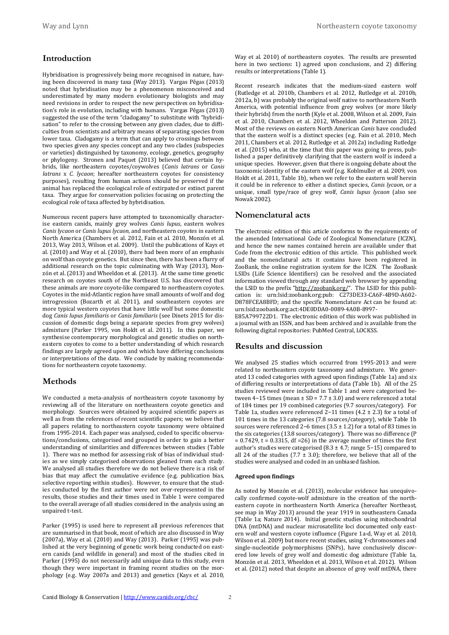# **Introduction**

Hybridisation is progressively being more recognised in nature, having been discovered in many taxa (Way 2013). Vargas Pêgas (2013) noted that hybridisation may be a phenomenon misconceived and underestimated by many modern evolutionary biologists and may need revisions in order to respect the new perspectives on hybridisation's role in evolution, including with humans. Vargas Pêgas (2013) suggested the use of the term "cladogamy" to substitute with "hybridisation" to refer to the crossing between any given clades, due to difficulties from scientists and arbitrary means of separating species from lower taxa. Cladogamy is a term that can apply to crossings between two species given any species concept and any two clades (subspecies or varieties) distinguished by taxonomy, ecology, genetics, geography or phylogeny. Stronen and Paquet (2013) believed that certain hybrids, like northeastern coyotes/coywolves (*Canis latrans* or *Canis latrans* x *C. lycaon*; hereafter northeastern coyotes for consistency purposes), resulting from human actions should be preserved if the animal has replaced the ecological role of extirpated or extinct parent taxa. They argue for conservation policies focusing on protecting the ecological role of taxa affected by hybridisation.

Numerous recent papers have attempted to taxonomically characterise eastern canids, mainly grey wolves *Canis lupus*, eastern wolves *Canis lycaon* or *Canis lupus lycaon*, and northeastern coyotes in eastern North America (Chambers et al. 2012, Fain et al. 2010, Monzón et al. 2013, Way 2013, Wilson et al. 2009). Until the publications of Kays et al. (2010) and Way et al. (2010), there had been more of an emphasis on wolf than coyote genetics. But since then, there has been a flurry of additional research on the topic culminating with Way (2013), Monzón et al. (2013) and Wheeldon et al. (2013). At the same time genetic research on coyotes south of the Northeast U.S. has discovered that these animals are more coyote-like compared to northeastern coyotes. Coyotes in the mid-Atlantic region have small amounts of wolf and dog introgression (Bozarth et al. 2011), and southeastern coyotes are more typical western coyotes that have little wolf but some domestic dog *Canis lupus familiaris* or *Canis familiaris* (see Dinets 2015 for discussion of domestic dogs being a separate species from grey wolves) admixture (Parker 1995, von Holdt et al. 2011). In this paper, we synthesise contemporary morphological and genetic studies on northeastern coyotes to come to a better understanding of which research findings are largely agreed upon and which have differing conclusions or interpretations of the data. We conclude by making recommendations for northeastern coyote taxonomy.

## **Methods**

We conducted a meta-analysis of northeastern coyote taxonomy by reviewing all of the literature on northeastern coyote genetics and morphology. Sources were obtained by acquired scientific papers as well as from the references of recent scientific papers; we believe that all papers relating to northeastern coyote taxonomy were obtained from 1995-2014. Each paper was analysed, coded to specific observations/conclusions, categorised and grouped in order to gain a better understanding of similarities and differences between studies (Table 1). There was no method for assessing risk of bias of individual studies as we simply categorised observations gleaned from each study. We analysed all studies therefore we do not believe there is a risk of bias that may affect the cumulative evidence (e.g. publication bias, selective reporting within studies). However, to ensure that the studies conducted by the first author were not over-represented in the results, those studies and their times used in Table 1 were compared to the overall average of all studies considered in the analysis using an unpaired t-test.

Parker (1995) is used here to represent all previous references that are summarised in that book, most of which are also discussed in Way (2007a), Way et al. (2010) and Way (2013). Parker (1995) was published at the very beginning of genetic work being conducted on eastern canids (and wildlife in general) and most of the studies cited in Parker (1995) do not necessarily add unique data to this study, even though they were important in framing recent studies on the morphology (e.g. Way 2007a and 2013) and genetics (Kays et al. 2010,

Way et al. 2010) of northeastern coyotes. The results are presented here in two sections: 1) agreed upon conclusions, and 2) differing results or interpretations (Table 1).

Recent research indicates that the medium-sized eastern wolf (Rutledge et al. 2010b, Chambers et al. 2012, Rutledge et al. 2010b, 2012a, b) was probably the original wolf native to northeastern North America, with potential influence from grey wolves (or more likely their hybrids) from the north (Kyle et al. 2008, Wilson et al. 2009, Fain et al. 2010, Chambers et al. 2012, Wheeldon and Patterson 2012). Most of the reviews on eastern North American *Canis* have concluded that the eastern wolf is a distinct species (e.g. Fain et al. 2010, Mech 2011, Chambers et al. 2012, Rutledge et al. 2012a) including Rutledge et al. (2015) who, at the time that this paper was going to press, published a paper definitively clarifying that the eastern wolf is indeed a unique species. However, given that there is ongoing debate about the taxonomic identity of the eastern wolf (e.g. Koblmuller et al. 2009, von Holdt et al. 2011, Table 1b), when we refer to the eastern wolf herein it could be in reference to either a distinct species, *Canis lycaon*, or a unique, small type/race of grey wolf, *Canis lupus lycaon* (also see Nowak 2002).

### **Nomenclatural acts**

The electronic edition of this article conforms to the requirements of the amended International Code of Zoological Nomenclature (ICZN), and hence the new names contained herein are available under that Code from the electronic edition of this article. This published work and the nomenclatural acts it contains have been registered in ZooBank, the online registration system for the ICZN. The ZooBank LSIDs (Life Science Identifiers) can be resolved and the associated information viewed through any standard web browser by appending the LSID to the prefix ["http://zoobank.org/"](http://zoobank.org/). The LSID for this publication is: urn:lsid:zoobank.org:pub: C273DE33-CA6F-4B9D-A602- D878FCEA8BFD; and the specific Nomenclature Act can be found at: urn:lsid:zoobank.org:act:4DE0DDA0-0089-4A0B-8997-

E85A799722D1. The electronic edition of this work was published in a journal with an ISSN, and has been archived and is available from the following digital repositories: PubMed Central, LOCKSS.

### **Results and discussion**

We analysed 25 studies which occurred from 1995-2013 and were related to northeastern coyote taxonomy and admixture. We generated 13 coded categories with agreed upon findings (Table 1a) and six of differing results or interpretations of data (Table 1b). All of the 25 studies reviewed were included in Table 1 and were categorised between 4–15 times (mean  $\pm$  SD = 7.7  $\pm$  3.0) and were referenced a total of 184 times per 19 combined categories (9.7 sources/category). For Table 1a, studies were referenced 2−11 times (4.2 ± 2.3) for a total of 101 times in the 13 categories (7.8 sources/category), while Table 1b sources were referenced 2−6 times (3.5 ± 1.2) for a total of 83 times in the six categories (13.8 sources/category). There was no difference (P  $= 0.7429$ ,  $t = 0.3315$ , df = 26) in the average number of times the first author's studies were categorised (8.3 ± 4.7; range 5−15) compared to all 24 of the studies (7.7  $\pm$  3.0); therefore, we believe that all of the studies were analysed and coded in an unbiased fashion.

#### **Agreed upon findings**

As noted by Monzón et al. (2013), molecular evidence has unequivocally confirmed coyote-wolf admixture in the creation of the northeastern coyote in northeastern North America (hereafter Northeast, see map in Way 2013) around the year 1919 in southeastern Canada (Table 1a; Nature 2014). Initial genetic studies using mitochondrial DNA (mtDNA) and nuclear microsatellite loci documented only eastern wolf and western coyote influence (Figure 1a-d, Way et al. 2010, Wilson et al. 2009) but more recent studies, using Y-chromosomes and single-nucleotide polymorphisms (SNPs), have conclusively discovered low levels of grey wolf and domestic dog admixture (Table 1a, Monzón et al. 2013, Wheeldon et al. 2013, Wilson et al. 2012). Wilson et al. (2012) noted that despite an absence of grey wolf mtDNA, there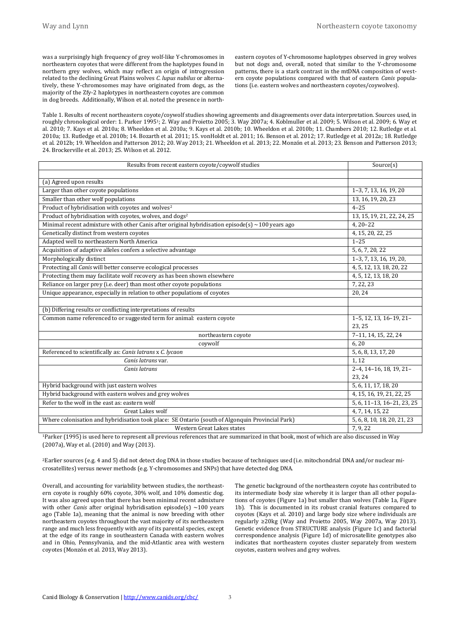was a surprisingly high frequency of grey wolf-like Y-chromosomes in northeastern coyotes that were different from the haplotypes found in northern grey wolves, which may reflect an origin of introgression related to the declining Great Plains wolves *C. lupus nubilus* or alternatively, these Y-chromosomes may have originated from dogs, as the majority of the Zfy-2 haplotypes in northeastern coyotes are common in dog breeds. Additionally, Wilson et al. noted the presence in northeastern coyotes of Y-chromosome haplotypes observed in grey wolves but not dogs and, overall, noted that similar to the Y-chromosome patterns, there is a stark contrast in the mtDNA composition of western coyote populations compared with that of eastern *Canis* populations (i.e. eastern wolves and northeastern coyotes/coywolves).

Table 1. Results of recent northeastern coyote/coywolf studies showing agreements and disagreements over data interpretation. Sources used, in roughly chronological order: 1. Parker 19951; 2. Way and Proietto 2005; 3. Way 2007a; 4. Koblmuller et al. 2009; 5. Wilson et al. 2009; 6. Way et al. 2010; 7. Kays et al. 2010a; 8. Wheeldon et al. 2010a; 9. Kays et al. 2010b; 10. Wheeldon et al. 2010b; 11. Chambers 2010; 12. Rutledge et al. 2010a; 13. Rutledge et al. 2010b; 14. Bozarth et al. 2011; 15. vonHoldt et al. 2011; 16. Benson et al. 2012; 17. Rutledge et al. 2012a; 18. Rutledge et al. 2012b; 19. Wheeldon and Patterson 2012; 20. Way 2013; 21. Wheeldon et al. 2013; 22. Monzón et al. 2013; 23. Benson and Patterson 2013; 24. Brockerville et al. 2013; 25. Wilson et al. 2012.

| Results from recent eastern coyote/coywolf studies                                                     | Source(s)                   |
|--------------------------------------------------------------------------------------------------------|-----------------------------|
|                                                                                                        |                             |
| (a) Agreed upon results                                                                                |                             |
| Larger than other coyote populations                                                                   | 1-3, 7, 13, 16, 19, 20      |
| Smaller than other wolf populations                                                                    | 13, 16, 19, 20, 23          |
| Product of hybridisation with coyotes and wolves <sup>2</sup>                                          | $4 - 25$                    |
| Product of hybridisation with coyotes, wolves, and dogs <sup>2</sup>                                   | 13, 15, 19, 21, 22, 24, 25  |
| Minimal recent admixture with other Canis after original hybridisation episode(s) $\sim$ 100 years ago | $4, 20 - 22$                |
| Genetically distinct from western coyotes                                                              | 4, 15, 20, 22, 25           |
| Adapted well to northeastern North America                                                             | $1 - 25$                    |
| Acquisition of adaptive alleles confers a selective advantage                                          | 5, 6, 7, 20, 22             |
| Morphologically distinct                                                                               | 1-3, 7, 13, 16, 19, 20,     |
| Protecting all Canis will better conserve ecological processes                                         | 4, 5, 12, 13, 18, 20, 22    |
| Protecting them may facilitate wolf recovery as has been shown elsewhere                               | 4, 5, 12, 13, 18, 20        |
| Reliance on larger prey (i.e. deer) than most other coyote populations                                 | 7, 22, 23                   |
| Unique appearance, especially in relation to other populations of coyotes                              | 20, 24                      |
|                                                                                                        |                             |
| (b) Differing results or conflicting interpretations of results                                        |                             |
| Common name referenced to or suggested term for animal: eastern coyote                                 | 1-5, 12, 13, 16-19, 21-     |
|                                                                                                        | 23, 25                      |
| northeastern coyote                                                                                    | 7-11, 14, 15, 22, 24        |
| coywolf                                                                                                | 6,20                        |
| Referenced to scientifically as: Canis latrans x C. lycaon                                             | 5, 6, 8, 13, 17, 20         |
| Canis latrans var.                                                                                     | 1, 12                       |
| Canis latrans                                                                                          | $2-4, 14-16, 18, 19, 21-$   |
|                                                                                                        | 23, 24                      |
| Hybrid background with just eastern wolves                                                             | 5, 6, 11, 17, 18, 20        |
| Hybrid background with eastern wolves and grey wolves                                                  | 4, 15, 16, 19, 21, 22, 25   |
| Refer to the wolf in the east as: eastern wolf                                                         | 5, 6, 11-13, 16-21, 23, 25  |
| <b>Great Lakes wolf</b>                                                                                | 4, 7, 14, 15, 22            |
| Where colonisation and hybridisation took place: SE Ontario (south of Algonquin Provincial Park)       | 5, 6, 8, 10, 18, 20, 21, 23 |
| Western Great Lakes states                                                                             | 7, 9, 22                    |

<sup>1</sup>Parker (1995) is used here to represent all previous references that are summarized in that book, most of which are also discussed in Way (2007a), Way et al. (2010) and Way (2013).

2Earlier sources (e.g. 4 and 5) did not detect dog DNA in those studies because of techniques used (i.e. mitochondrial DNA and/or nuclear microsatellites) versus newer methods (e.g. Y-chromosomes and SNPs) that have detected dog DNA.

Overall, and accounting for variability between studies, the northeastern coyote is roughly 60% coyote, 30% wolf, and 10% domestic dog. It was also agreed upon that there has been minimal recent admixture with other *Canis* after original hybridisation episode(s) ~100 years ago (Table 1a), meaning that the animal is now breeding with other northeastern coyotes throughout the vast majority of its northeastern range and much less frequently with any of its parental species, except at the edge of its range in southeastern Canada with eastern wolves and in Ohio, Pennsylvania, and the mid-Atlantic area with western coyotes (Monzón et al. 2013, Way 2013).

The genetic background of the northeastern coyote has contributed to its intermediate body size whereby it is larger than all other populations of coyotes (Figure 1a) but smaller than wolves (Table 1a, Figure 1b). This is documented in its robust cranial features compared to coyotes (Kays et al. 2010) and large body size where individuals are regularly ≥20kg (Way and Proietto 2005, Way 2007a, Way 2013). Genetic evidence from STRUCTURE analysis (Figure 1c) and factorial correspondence analysis (Figure 1d) of microsatellite genotypes also indicates that northeastern coyotes cluster separately from western coyotes, eastern wolves and grey wolves.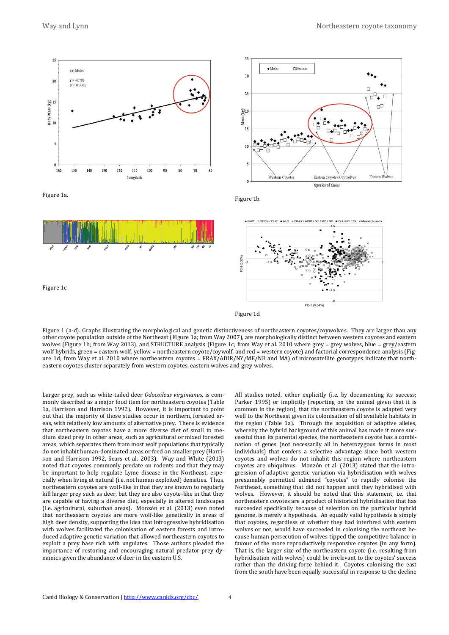

Figure 1 (a-d). Graphs illustrating the morphological and genetic distinctiveness of northeastern coyotes/coywolves. They are larger than any other coyote population outside of the Northeast (Figure 1a; from Way 2007), are morphologically distinct between western coyotes and eastern wolves (Figure 1b; from Way 2013), and STRUCTURE analysis (Figure 1c; from Way et al. 2010 where grey = grey wolves, blue = grey/eastern wolf hybrids, green = eastern wolf, yellow = northeastern coyote/coywolf, and red = western coyote) and factorial correspondence analysis (Figure 1d; from Way et al. 2010 where northeastern coyotes = FRAX/ADIR/NY/ME/NB and MA) of microsatellite genotypes indicate that northeastern coyotes cluster separately from western coyotes, eastern wolves and grey wolves.

Figure 1d.

Larger prey, such as white-tailed deer *Odocoileus virginianus*, is commonly described as a major food item for northeastern coyotes (Table 1a, Harrison and Harrison 1992). However, it is important to point out that the majority of those studies occur in northern, forested areas, with relatively low amounts of alternative prey. There is evidence that northeastern coyotes have a more diverse diet of small to medium sized prey in other areas, such as agricultural or mixed forested areas, which separates them from most wolf populations that typically do not inhabit human-dominated areas or feed on smaller prey (Harrison and Harrison 1992, Sears et al. 2003). Way and White (2013) noted that coyotes commonly predate on rodents and that they may be important to help regulate Lyme disease in the Northeast, especially when living at natural (i.e. not human exploited) densities. Thus, northeastern coyotes are wolf-like in that they are known to regularly kill larger prey such as deer, but they are also coyote-like in that they are capable of having a diverse diet, especially in altered landscapes (i.e. agricultural, suburban areas). Monzón et al. (2013) even noted that northeastern coyotes are more wolf-like genetically in areas of high deer density, supporting the idea that introgressive hybridisation with wolves facilitated the colonisation of eastern forests and introduced adaptive genetic variation that allowed northeastern coyotes to exploit a prey base rich with ungulates. Those authors pleaded the importance of restoring and encouraging natural predator-prey dynamics given the abundance of deer in the eastern U.S.

All studies noted, either explicitly (i.e. by documenting its success; Parker 1995) or implicitly (reporting on the animal given that it is common in the region), that the northeastern coyote is adapted very well to the Northeast given its colonisation of all available habitats in the region (Table 1a). Through the acquisition of adaptive alleles, whereby the hybrid background of this animal has made it more successful than its parental species, the northeastern coyote has a combination of genes (not necessarily all in heterozygous forms in most individuals) that confers a selective advantage since both western coyotes and wolves do not inhabit this region where northeastern coyotes are ubiquitous. Monzón et al. (2013) stated that the introgression of adaptive genetic variation via hybridisation with wolves presumably permitted admixed "coyotes" to rapidly colonise the Northeast, something that did not happen until they hybridised with wolves. However, it should be noted that this statement, i.e. that northeastern coyotes are a product of historical hybridisation that has succeeded specifically because of selection on the particular hybrid genome, is merely a hypothesis. An equally valid hypothesis is simply that coyotes, regardless of whether they had interbred with eastern wolves or not, would have succeeded in colonising the northeast because human persecution of wolves tipped the competitive balance in favour of the more reproductively responsive coyotes (in any form). That is, the larger size of the northeastern coyote (i.e. resulting from hybridisation with wolves) could be irrelevant to the coyotes' success rather than the driving force behind it. Coyotes colonising the east from the south have been equally successful in response to the decline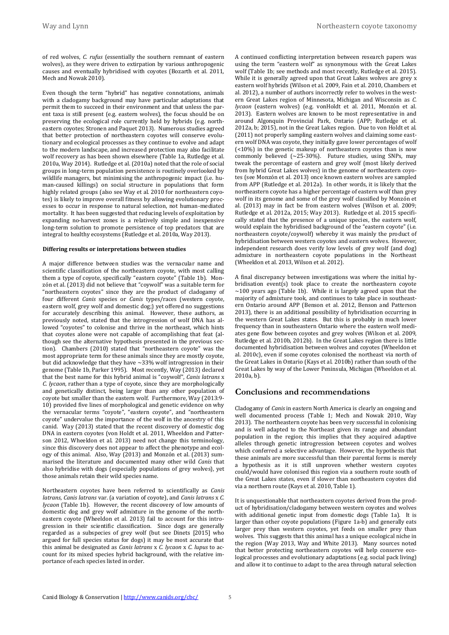of red wolves, *C. rufus* (essentially the southern remnant of eastern wolves), as they were driven to extirpation by various anthropogenic causes and eventually hybridised with coyotes (Bozarth et al. 2011, Mech and Nowak 2010).

Even though the term "hybrid" has negative connotations, animals with a cladogamy background may have particular adaptations that permit them to succeed in their environment and that unless the parent taxa is still present (e.g. eastern wolves), the focus should be on preserving the ecological role currently held by hybrids (e.g. northeastern coyotes; Stronen and Paquet 2013). Numerous studies agreed that better protection of northeastern coyotes will conserve evolutionary and ecological processes as they continue to evolve and adapt to the modern landscape, and increased protection may also facilitate wolf recovery as has been shown elsewhere (Table 1a, Rutledge et al. 2010a, Way 2014). Rutledge et al. (2010a) noted that the role of social groups in long-term population persistence is routinely overlooked by wildlife managers, but minimising the anthropogenic impact (i.e. human-caused killings) on social structure in populations that form highly related groups (also see Way et al. 2010 for northeastern coyotes) is likely to improve overall fitness by allowing evolutionary processes to occur in response to natural selection, not human-mediated mortality. It has been suggested that reducing levels of exploitation by expanding no-harvest zones is a relatively simple and inexpensive long-term solution to promote persistence of top predators that are integral to healthy ecosystems (Rutledge et al. 2010a, Way 2013).

#### **Differing results or interpretations between studies**

A major difference between studies was the vernacular name and scientific classification of the northeastern coyote, with most calling them a type of coyote, specifically "eastern coyote" (Table 1b). Monzón et al. (2013) did not believe that "coywolf" was a suitable term for "northeastern coyotes" since they are the product of cladogamy of four different *Canis* species or *Canis* types/races (western coyote, eastern wolf, grey wolf and domestic dog;) yet offered no suggestions for accurately describing this animal. However, these authors, as previously noted, stated that the introgression of wolf DNA has allowed "coyotes" to colonise and thrive in the northeast, which hints that coyotes alone were not capable of accomplishing that feat (although see the alternative hypothesis presented in the previous section). Chambers (2010) stated that "northeastern coyote" was the most appropriate term for these animals since they are mostly coyote, but did acknowledge that they have ~33% wolf introgression in their genome (Table 1b, Parker 1995). Most recently, Way (2013) declared that the best name for this hybrid animal is "coywolf", *Canis latrans* x *C*. *lycaon*, rather than a type of coyote, since they are morphologically and genetically distinct, being larger than any other population of coyote but smaller than the eastern wolf. Furthermore, Way (2013:9- 10) provided five lines of morphological and genetic evidence on why the vernacular terms "coyote", "eastern coyote", and "northeastern coyote" undervalue the importance of the wolf in the ancestry of this canid. Way (2013) stated that the recent discovery of domestic dog DNA in eastern coyotes (von Holdt et al. 2011, Wheeldon and Patterson 2012, Wheeldon et al. 2013) need not change this terminology, since this discovery does not appear to affect the phenotype and ecology of this animal. Also, Way (2013) and Monzón et al. (2013) summarised the literature and documented many other wild *Canis* that also hybridise with dogs (especially populations of grey wolves), yet those animals retain their wild species name.

Northeastern coyotes have been referred to scientifically as *Canis latrans*, *Canis latrans* var. (a variation of coyote), and *Canis latrans* x *C. lycaon* (Table 1b). However, the recent discovery of low amounts of domestic dog and grey wolf admixture in the genome of the northeastern coyote (Wheeldon et al. 2013) fail to account for this introgression in their scientific classification. Since dogs are generally regarded as a subspecies of grey wolf (but see Dinets [2015] who argued for full species status for dogs) it may be most accurate that this animal be designated as *Canis latrans* x *C. lycaon* x *C. lupus* to account for its mixed species hybrid background, with the relative importance of each species listed in order.

A continued conflicting interpretation between research papers was using the term "eastern wolf" as synonymous with the Great Lakes wolf (Table 1b; see methods and most recently, Rutledge et al. 2015). While it is generally agreed upon that Great Lakes wolves are grey x eastern wolf hybrids (Wilson et al. 2009, Fain et al. 2010, Chambers et al. 2012), a number of authors incorrectly refer to wolves in the western Great Lakes region of Minnesota, Michigan and Wisconsin as *C. lycaon* (eastern wolves) (e.g. vonHoldt et al. 2011, Monzón et al. 2013). Eastern wolves are known to be most representative in and around Algonquin Provincial Park, Ontario (APP; Rutledge et al. 2012a, b; 2015), not in the Great Lakes region. Due to von Holdt et al. (2011) not properly sampling eastern wolves and claiming some eastern wolf DNA was coyote, they initially gave lower percentages of wolf (<10%) in the genetic makeup of northeastern coyotes than is now commonly believed (~25-30%). Future studies, using SNPs, may tweak the percentage of eastern and grey wolf (most likely derived from hybrid Great Lakes wolves) in the genome of northeastern coyotes (see Monzón et al. 2013) once known eastern wolves are sampled from APP (Rutledge et al. 2012a). In other words, it is likely that the northeastern coyote has a higher percentage of eastern wolf than grey wolf in its genome and some of the grey wolf classified by Monzón et al. (2013) may in fact be from eastern wolves (Wilson et al. 2009; Rutledge et al. 2012a, 2015; Way 2013). Rutledge et al. 2015 specifically stated that the presence of a unique species, the eastern wolf, would explain the hybridised background of the "eastern coyote" (i.e. northeastern coyote/coywolf) whereby it was mainly the product of hybridisation between western coyotes and eastern wolves. However, independent research does verify low levels of grey wolf (and dog) admixture in northeastern coyote populations in the Northeast (Wheeldon et al. 2013, Wilson et al. 2012).

A final discrepancy between investigations was where the initial hybridisation event(s) took place to create the northeastern coyote  $\sim$ 100 years ago (Table 1b). While it is largely agreed upon that the majority of admixture took, and continues to take place in southeastern Ontario around APP (Benson et al. 2012, Benson and Patterson 2013), there is an additional possibility of hybridisation occurring in the western Great Lakes states. But this is probably in much lower frequency than in southeastern Ontario where the eastern wolf mediates gene flow between coyotes and grey wolves (Wilson et al. 2009, Rutledge et al. 2010b, 2012b). In the Great Lakes region there is little documented hybridisation between wolves and coyotes (Wheeldon et al. 2010c), even if some coyotes colonised the northeast via north of the Great Lakes in Ontario (Kays et al. 2010b) rather than south of the Great Lakes by way of the Lower Peninsula, Michigan (Wheeldon et al. 2010a, b).

#### **Conclusions and recommendations**

Cladogamy of *Canis* in eastern North America is clearly an ongoing and well documented process (Table 1; Mech and Nowak 2010, Way 2013). The northeastern coyote has been very successful in colonising and is well adapted to the Northeast given its range and abundant population in the region; this implies that they acquired adaptive alleles through genetic introgression between coyotes and wolves which conferred a selective advantage. However, the hypothesis that these animals are more successful than their parental forms is merely a hypothesis as it is still unproven whether western coyotes could/would have colonised this region via a southern route south of the Great Lakes states, even if slower than northeastern coyotes did via a northern route (Kays et al. 2010, Table 1).

It is unquestionable that northeastern coyotes derived from the product of hybridisation/cladogamy between western coyotes and wolves with additional genetic input from domestic dogs (Table 1a). It is larger than other coyote populations (Figure 1a-b) and generally eats larger prey than western coyotes, yet feeds on smaller prey than wolves. This suggests that this animal has a unique ecological niche in the region (Way 2013, Way and White 2013). Many sources noted that better protecting northeastern coyotes will help conserve ecological processes and evolutionary adaptations (e.g. social pack living) and allow it to continue to adapt to the area through natural selection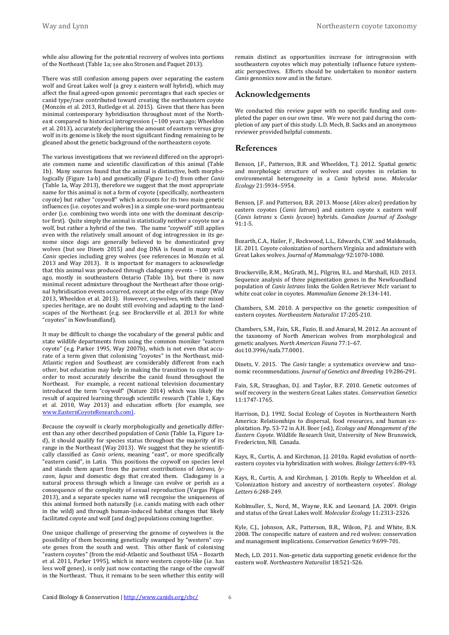while also allowing for the potential recovery of wolves into portions of the Northeast (Table 1a; see also Stronen and Paquet 2013).

There was still confusion among papers over separating the eastern wolf and Great Lakes wolf (a grey x eastern wolf hybrid), which may affect the final agreed-upon genomic percentages that each species or canid type/race contributed toward creating the northeastern coyote (Monzón et al. 2013, Rutledge et al. 2015). Given that there has been minimal contemporary hybridisation throughout most of the Northeast compared to historical introgression  $\sim$  100 years ago; Wheeldon et al. 2013), accurately deciphering the amount of eastern versus grey wolf in its genome is likely the most significant finding remaining to be gleaned about the genetic background of the northeastern coyote.

The various investigations that we reviewed differed on the appropriate common name and scientific classification of this animal (Table 1b). Many sources found that the animal is distinctive, both morphologically (Figure 1a-b) and genetically (Figure 1c-d) from other *Canis* (Table 1a, Way 2013), therefore we suggest that the most appropriate name for this animal is not a form of coyote (specifically, northeastern coyote) but rather "coywolf" which accounts for its two main genetic influences (i.e. coyotes and wolves) in a simple one-word portmanteau order (i.e. combining two words into one with the dominant descriptor first). Quite simply the animal is statistically neither a coyote nor a wolf, but rather a hybrid of the two. The name "coywolf" still applies even with the relatively small amount of dog introgression in its genome since dogs are generally believed to be domesticated grey wolves (but see Dinets 2015) and dog DNA is found in many wild *Canis* species including grey wolves (see references in Monzón et al. 2013 and Way 2013). It is important for managers to acknowledge that this animal was produced through cladogamy events  $\sim$  100 years ago, mostly in southeastern Ontario (Table 1b), but there is now minimal recent admixture throughout the Northeast after those original hybridisation events occurred, except at the edge of its range (Way 2013, Wheeldon et al. 2013). However, coywolves, with their mixed species heritage, are no doubt still evolving and adapting to the landscapes of the Northeast (e.g. see Brockerville et al. 2013 for white "coyotes" in Newfoundland).

It may be difficult to change the vocabulary of the general public and state wildlife departments from using the common moniker "eastern coyote" (e.g. Parker 1995, Way 2007b), which is not even that accurate of a term given that colonising "coyotes" in the Northeast, mid-Atlantic region and Southeast are considerably different from each other, but education may help in making the transition to coywolf in order to most accurately describe the canid found throughout the Northeast. For example, a recent national television documentary introduced the term "coywolf" (Nature 2014) which was likely the result of acquired learning through scientific research (Table 1, Kays et al. 2010, Way 2013) and education efforts (for example, see [www.EasternCoyoteResearch.com\).](http://www.easterncoyoteresearch.com)/)

Because the coywolf is clearly morphologically and genetically different than any other described population of *Canis* (Table 1a, Figure 1ad), it should qualify for species status throughout the majority of its range in the Northeast (Way 2013). We suggest that they be scientifically classified as *Canis oriens*, meaning "east", or more specifically "eastern canid", in Latin. This positions the coywolf on species level and stands them apart from the parent contributions of *latrans*, *lycaon*, *lupus* and domestic dogs that created them. Cladogamy is a natural process through which a lineage can evolve or perish as a consequence of the complexity of sexual reproduction (Vargas Pêgas 2013), and a separate species name will recognise the uniqueness of this animal formed both naturally (i.e. canids mating with each other in the wild) and through human-induced habitat changes that likely facilitated coyote and wolf (and dog) populations coming together.

One unique challenge of preserving the genome of coywolves is the possibility of them becoming genetically swamped by "western" coyote genes from the south and west. This other flank of colonising "eastern coyotes" (from the mid-Atlantic and Southeast USA – Bozarth et al. 2011, Parker 1995), which is more western coyote-like (i.e. has less wolf genes), is only just now contacting the range of the coywolf in the Northeast. Thus, it remains to be seen whether this entity will

remain distinct as opportunities increase for introgression with southeastern coyotes which may potentially influence future systematic perspectives. Efforts should be undertaken to monitor eastern *Canis* genomics now and in the future.

#### **Acknowledgements**

We conducted this review paper with no specific funding and completed the paper on our own time. We were not paid during the completion of any part of this study. L.D. Mech, B. Sacks and an anonymous reviewer provided helpful comments.

#### **References**

Benson, J.F., Patterson, B.R. and Wheeldon, T.J. 2012. Spatial genetic and morphologic structure of wolves and coyotes in relation to environmental heterogeneity in a *Canis* hybrid zone. *Molecular Ecology* 21:5934–5954.

Benson, J.F. and Patterson, B.R. 2013. Moose (*Alces alces*) predation by eastern coyotes (*Canis latrans*) and eastern coyote x eastern wolf (*Canis latrans* x *Canis lycaon*) hybrids. *Canadian Journal of Zoology* 91:1-5.

[Bozarth, C.A., Hailer, F., Rockwood, L.L.,](http://www.easterncoyoteresearch.com/downloads/BozarthEtAlCoyotes2011.pdf) Edwards, C.W. and Maldonado, [J.E. 2011. Coyote colonization of northern Virginia and admixture with](http://www.easterncoyoteresearch.com/downloads/BozarthEtAlCoyotes2011.pdf)  Great Lakes wolves. *[Journal of Mammalogy](http://www.easterncoyoteresearch.com/downloads/BozarthEtAlCoyotes2011.pdf)* 92:1070-1080.

Brockerville, R.M., McGrath, M.J., Pilgrim, B.L. and Marshall, H.D. 2013. Sequence analysis of three pigmentation genes in the Newfoundland population of *Canis latrans* links the Golden Retriever McIr variant to white coat color in coyotes. *Mammalian Genome* 24:134-141.

[Chambers, S.M. 2010. A perspective on the genetic composition of](http://www.easterncoyoteresearch.com/downloads/Chambers-Eastern_coyote_northeastern_naturalist.pdf)  [eastern coyotes.](http://www.easterncoyoteresearch.com/downloads/Chambers-Eastern_coyote_northeastern_naturalist.pdf) *Northeaster*n *Naturalist* 17:205-210.

Chambers, S.M., Fain, S.R., Fazio, B. and Amaral, M. 2012. An account of the taxonomy of North American wolves from morphological and genetic analyses. *North American Fauna* 77:1–67. doi:10.3996/nafa.77.0001.

Dinets, V. 2015. The *Canis* tangle: a systematics overview and taxonomic recommendations. *Journal of Genetics and Breeding* 19:286-291.

Fain, S.R., Straughan, D.J. and Taylor, B.F. 2010. Genetic outcomes of wolf recovery in the western Great Lakes states. *Conservation Genetics* 11:1747-1765.

Harrison, D.J. 1992. Social Ecology of Coyotes in Northeastern North America: Relationships to dispersal, food resources, and human exploitation. Pp. 53-72 in A.H. Boer (ed.), *Ecology and Management of the Eastern Coyote*. Wildlife Research Unit, University of New Brunswick, Fredericton, NB, Canada.

Kays, R., Curtis, A. and Kirchman, J.J. 2010a. Rapid evolution of northeastern coyotes via hybridization with wolves. *Biology Letters* 6:89-93.

[Kays, R., Curtis, A. and Kirchman, J. 2010b. Reply to Wheeldon et al.](http://www.easterncoyoteresearch.com/downloads/Kays_etal2010_coyote_colonization_reply.pdf)  ['Colonization history and ancestry of northeastern coyotes'.](http://www.easterncoyoteresearch.com/downloads/Kays_etal2010_coyote_colonization_reply.pdf) *Biology Letters* [6:248-249.](http://www.easterncoyoteresearch.com/downloads/Kays_etal2010_coyote_colonization_reply.pdf)

Koblmuller, S., Nord, M., Wayne, R.K. and Leonard, J.A. 2009. Origin and status of the Great Lakes wolf. *Molecular Ecology* 11:2313-2326.

Kyle, C.J., Johnson, A.R., Patterson, B.R., Wilson, P.J. and White, B.N. 2008. The conspecific nature of eastern and red wolves: conservation and management implications. *Conservation Genetics* 9:699-701.

Mech, L.D. 2011. Non-genetic data supporting genetic evidence for the eastern wolf. *Northeastern Naturalist* 18:521-526.